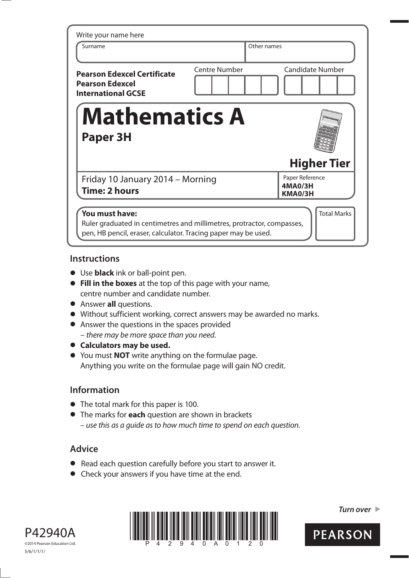| Write your name here                                                                      |                      |                                       |
|-------------------------------------------------------------------------------------------|----------------------|---------------------------------------|
| Surname                                                                                   | Other names          |                                       |
| <b>Pearson Edexcel Certificate</b><br><b>Pearson Edexcel</b><br><b>International GCSE</b> | <b>Centre Number</b> | <b>Candidate Number</b>               |
|                                                                                           |                      |                                       |
| <b>Mathematics A</b><br><b>Paper 3H</b>                                                   |                      |                                       |
|                                                                                           |                      | <b>Higher Tier</b>                    |
| Friday 10 January 2014 – Morning<br><b>Time: 2 hours</b>                                  |                      | Paper Reference<br>4MA0/3H<br>KMA0/3H |
| You must have:                                                                            |                      | <b>Total Marks</b>                    |

## **Instructions**

- **t** Use **black** ink or ball-point pen.
- **Fill in the boxes** at the top of this page with your name, centre number and candidate number.
- **•** Answer **all** questions.
- **t** Without sufficient working, correct answers may be awarded no marks.
- **•** Answer the questions in the spaces provided – there may be more space than you need.
- $\bullet$  Calculators may be used.
- **t** You must **NOT** write anything on the formulae page. Anything you write on the formulae page will gain NO credit.

# **Information**

- **•** The total mark for this paper is 100.
- **•** The marks for **each** question are shown in brackets – use this as a guide as to how much time to spend on each question.

# **Advice**

- **t** Read each question carefully before you start to answer it.
- **•** Check your answers if you have time at the end.





*Turn over* 

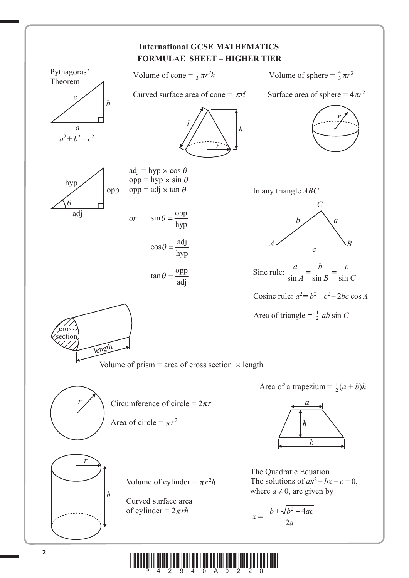

**\* A** 2011 And <sup>2</sup> and <sup>2</sup> and <sup>2</sup> and <sup>2</sup> and <sup>2</sup> and <sup>2</sup> and <sup>2</sup> and 2 and 2 and 2 and 2 and 2 and 2 and 2 and 2 and 2 and 2 and 2 and 2 and 2 and 2 and 2 and 2 and 2 and 2 and 2 and 2 and 2 and 2 and 2 and 2 and 2 and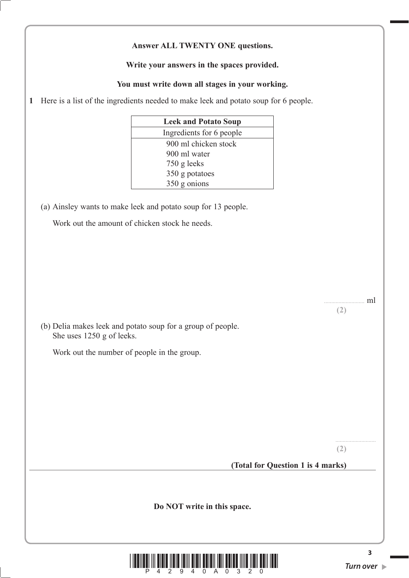#### **Answer ALL TWENTY ONE questions.**

#### **Write your answers in the spaces provided.**

#### **You must write down all stages in your working.**

**1** Here is a list of the ingredients needed to make leek and potato soup for 6 people.

| <b>Leek and Potato Soup</b> |                          |
|-----------------------------|--------------------------|
|                             | Ingredients for 6 people |
|                             | 900 ml chicken stock     |
|                             | 900 ml water             |
|                             | 750 g leeks              |
|                             | 350 g potatoes           |
|                             | $350$ g onions           |

(a) Ainsley wants to make leek and potato soup for 13 people.

Work out the amount of chicken stock he needs.

............................ ml **(2)**

 (b) Delia makes leek and potato soup for a group of people. She uses 1250 g of leeks.

Work out the number of people in the group.

**(2)**

## **(Total for Question 1 is 4 marks)**

**Do NOT write in this space.**



**3**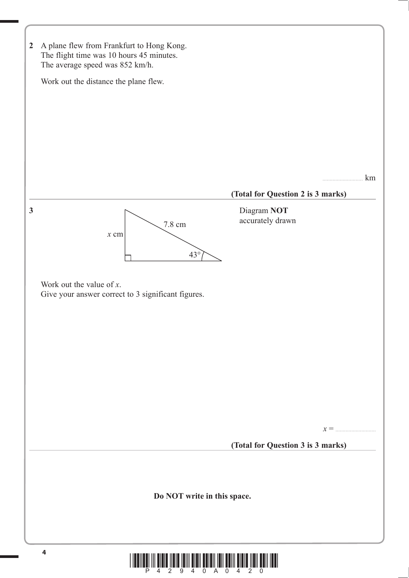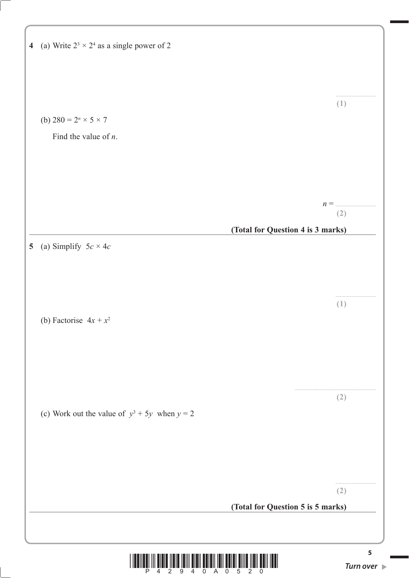|                | 4 (a) Write $2^3 \times 2^4$ as a single power of 2 |                                   |              |
|----------------|-----------------------------------------------------|-----------------------------------|--------------|
|                |                                                     |                                   | (1)          |
|                | (b) $280 = 2^n \times 5 \times 7$                   |                                   |              |
|                | Find the value of $n$ .                             |                                   |              |
|                |                                                     |                                   |              |
|                |                                                     |                                   |              |
|                |                                                     |                                   |              |
|                |                                                     |                                   | $n =$<br>(2) |
|                |                                                     | (Total for Question 4 is 3 marks) |              |
| 5 <sup>5</sup> | (a) Simplify $5c \times 4c$                         |                                   |              |
|                |                                                     |                                   |              |
|                |                                                     |                                   |              |
|                |                                                     |                                   |              |
|                | (b) Factorise $4x + x^2$                            |                                   | (1)          |
|                |                                                     |                                   |              |
|                |                                                     |                                   |              |
|                |                                                     |                                   |              |
|                |                                                     |                                   |              |
|                |                                                     |                                   | (2)          |
|                | (c) Work out the value of $y^3 + 5y$ when $y = 2$   |                                   |              |
|                |                                                     |                                   |              |
|                |                                                     |                                   |              |
|                |                                                     |                                   |              |
|                |                                                     |                                   |              |
|                |                                                     |                                   | (2)          |
|                |                                                     | (Total for Question 5 is 5 marks) |              |
|                |                                                     |                                   |              |
|                |                                                     |                                   | 5            |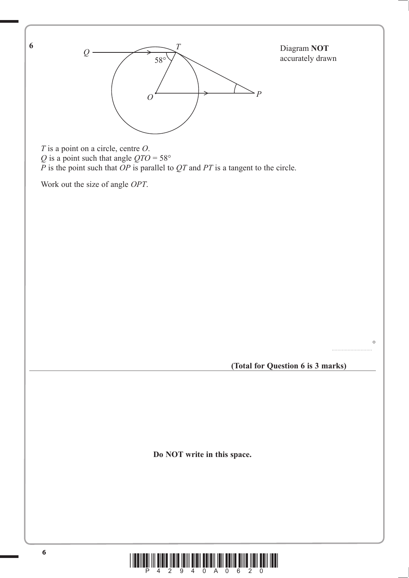

 $\frac{1}{2}$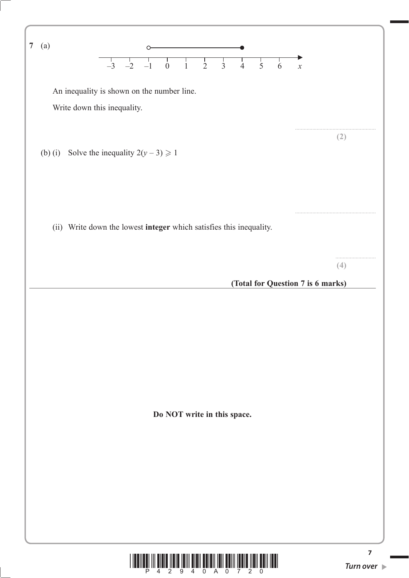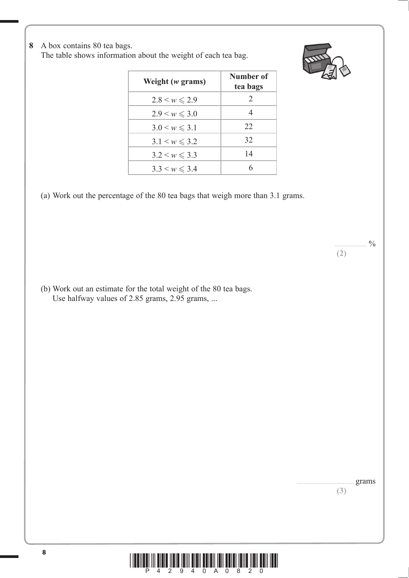**8** A box contains 80 tea bags.

The table shows information about the weight of each tea bag.



| Weight $(w$ grams)    | Number of<br>tea bags |
|-----------------------|-----------------------|
| $2.8 < w \le 2.9$     | 2                     |
| $2.9 \le w \le 3.0$   | 4                     |
| $3.0 \le w \le 3.1$   | 22                    |
| $3.1 \le w \le 3.2$   | 32                    |
| $3.2 \leq w \leq 3.3$ | 14                    |
| $3.3 \leq w \leq 3.4$ |                       |

(a) Work out the percentage of the 80 tea bags that weigh more than 3.1 grams.

 (b) Work out an estimate for the total weight of the 80 tea bags. Use halfway values of 2.85 grams, 2.95 grams, ...

> ........................................ grams **(3)**

 $^{0}/_{0}$ 

**(2)**

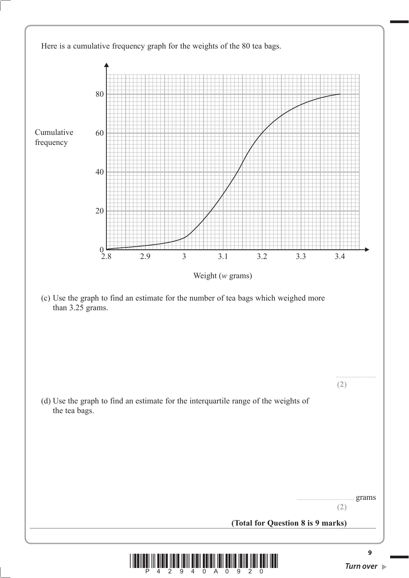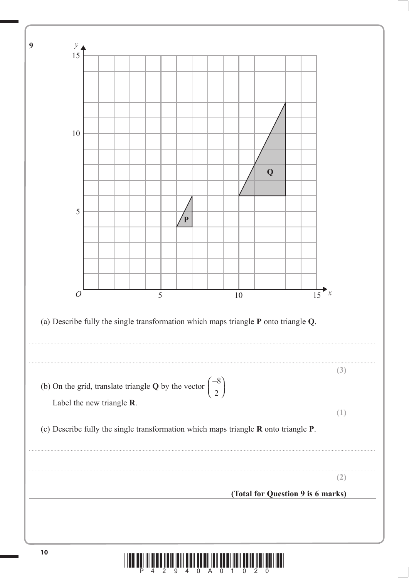

<u>ı manda mütufüru önnünmüzün öndüyün öyününmüzünü önnümü</u>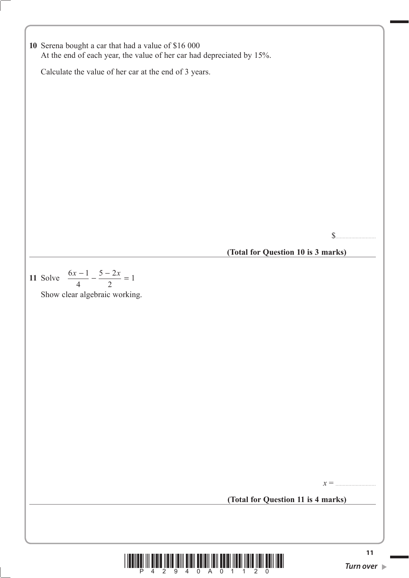**10** Serena bought a car that had a value of \$16 000 At the end of each year, the value of her car had depreciated by 15%. Calculate the value of her car at the end of 3 years. \$............................ **(Total for Question 10 is 3 marks) 11** Solve  $\frac{6x-1}{4}$  $5 - 2$  $\frac{x-1}{4} - \frac{5-2x}{2} = 1$  Show clear algebraic working. *x* = ............................ **(Total for Question 11 is 4 marks)**

**<sup>11</sup>** \*P42940A01120\* *Turn over*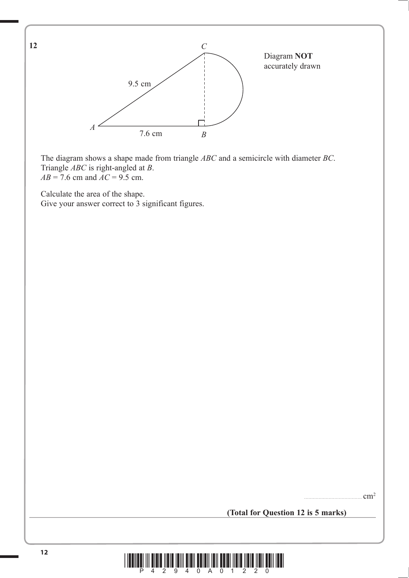

 The diagram shows a shape made from triangle *ABC* and a semicircle with diameter *BC*. Triangle *ABC* is right-angled at *B*.  $AB = 7.6$  cm and  $AC = 9.5$  cm.

Calculate the area of the shape.

**12**

Give your answer correct to 3 significant figures.

........................................ cm2

**(Total for Question 12 is 5 marks)**

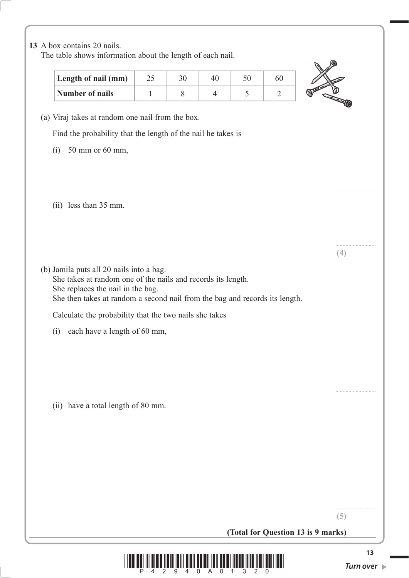## **13** A box contains 20 nails.

The table shows information about the length of each nail.

| Length of nail (mm) |  |  |  |
|---------------------|--|--|--|
| Number of nails     |  |  |  |



............................

............................

**(4)**

(a) Viraj takes at random one nail from the box.

Find the probability that the length of the nail he takes is

- (i) 50 mm or 60 mm,
- (ii) less than 35 mm.
- (b) Jamila puts all 20 nails into a bag. She takes at random one of the nails and records its length. She replaces the nail in the bag. She then takes at random a second nail from the bag and records its length.

Calculate the probability that the two nails she takes

(i) each have a length of 60 mm,

(ii) have a total length of 80 mm.

**(5)**

............................

**(Total for Question 13 is 9 marks)**

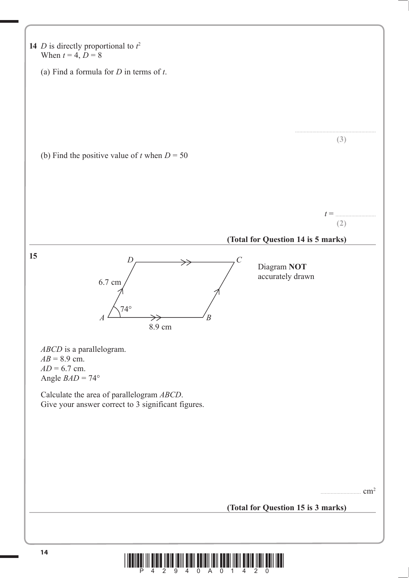

**<sup>14</sup>** \*P42940A01420\*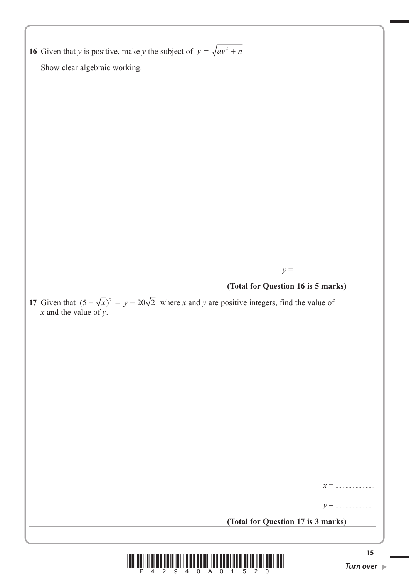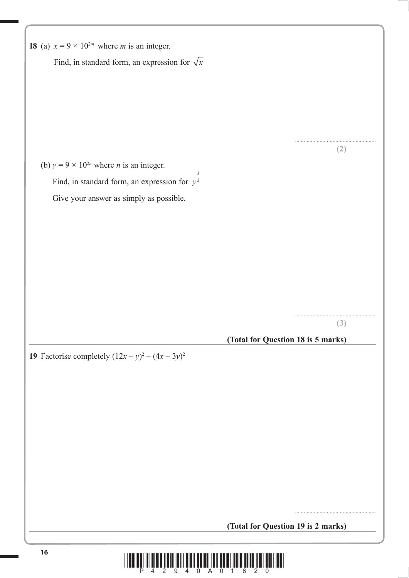| (2)<br>(b) $y = 9 \times 10^{2n}$ where <i>n</i> is an integer.<br>Find, in standard form, an expression for $y^{\frac{3}{2}}$<br>Give your answer as simply as possible.<br>(3) |                                                            |                                    |
|----------------------------------------------------------------------------------------------------------------------------------------------------------------------------------|------------------------------------------------------------|------------------------------------|
|                                                                                                                                                                                  | Find, in standard form, an expression for $\sqrt{x}$       |                                    |
|                                                                                                                                                                                  |                                                            |                                    |
|                                                                                                                                                                                  |                                                            |                                    |
|                                                                                                                                                                                  |                                                            |                                    |
|                                                                                                                                                                                  |                                                            |                                    |
|                                                                                                                                                                                  |                                                            |                                    |
|                                                                                                                                                                                  |                                                            |                                    |
|                                                                                                                                                                                  |                                                            |                                    |
|                                                                                                                                                                                  |                                                            |                                    |
|                                                                                                                                                                                  |                                                            |                                    |
|                                                                                                                                                                                  |                                                            |                                    |
|                                                                                                                                                                                  |                                                            |                                    |
|                                                                                                                                                                                  |                                                            |                                    |
|                                                                                                                                                                                  |                                                            |                                    |
|                                                                                                                                                                                  |                                                            |                                    |
|                                                                                                                                                                                  |                                                            |                                    |
|                                                                                                                                                                                  |                                                            |                                    |
|                                                                                                                                                                                  |                                                            | (Total for Question 18 is 5 marks) |
|                                                                                                                                                                                  |                                                            |                                    |
|                                                                                                                                                                                  |                                                            |                                    |
|                                                                                                                                                                                  |                                                            |                                    |
|                                                                                                                                                                                  |                                                            |                                    |
|                                                                                                                                                                                  |                                                            |                                    |
|                                                                                                                                                                                  |                                                            |                                    |
|                                                                                                                                                                                  |                                                            |                                    |
|                                                                                                                                                                                  | <b>19</b> Factorise completely $(12x - y)^2 - (4x - 3y)^2$ |                                    |

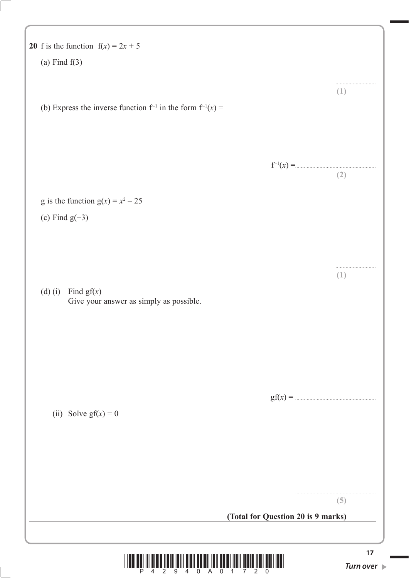| 20 f is the function $f(x) = 2x + 5$                                |                   |
|---------------------------------------------------------------------|-------------------|
| (a) Find $f(3)$                                                     |                   |
| (b) Express the inverse function $f^{-1}$ in the form $f^{-1}(x) =$ | (1)               |
|                                                                     | $f^{-1}(x) =$ (2) |
| g is the function $g(x) = x^2 - 25$                                 |                   |
| (c) Find $g(-3)$                                                    |                   |
|                                                                     |                   |
| (d) (i) Find $gf(x)$<br>Give your answer as simply as possible.     | (1)               |
|                                                                     |                   |
|                                                                     |                   |
| (ii) Solve $gf(x) = 0$                                              |                   |
|                                                                     |                   |
|                                                                     |                   |
|                                                                     |                   |
|                                                                     | (5)               |
| (Total for Question 20 is 9 marks)                                  |                   |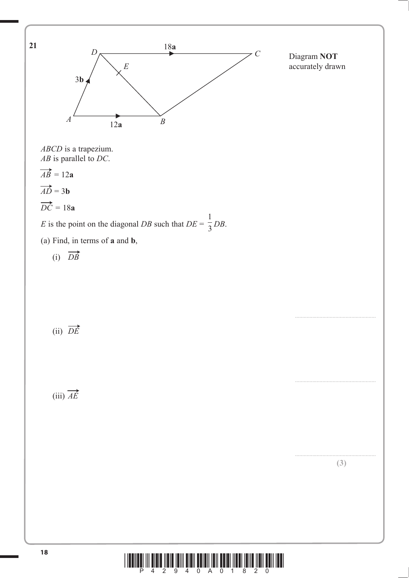

**<sup>18</sup>** \*P42940A01820\*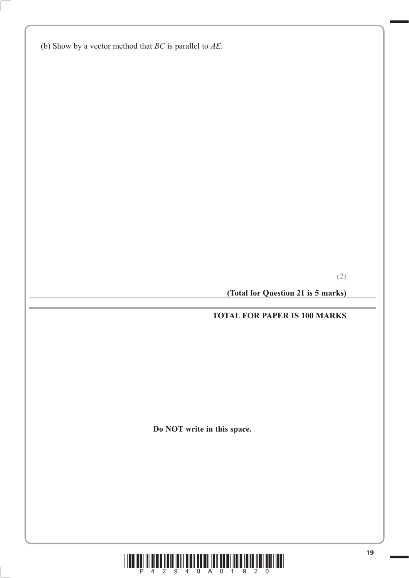(b) Show by a vector method that *BC* is parallel to *AE*.

**(2)**

**(Total for Question 21 is 5 marks)**

## **TOTAL FOR PAPER IS 100 MARKS**

**Do NOT write in this space.**